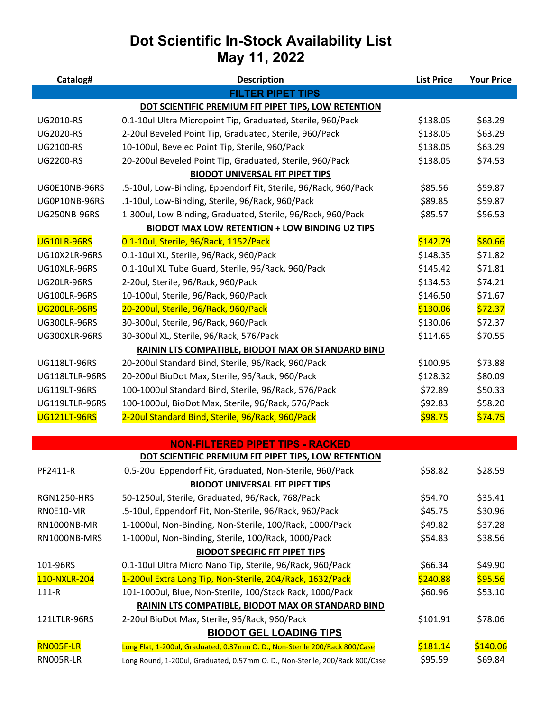# **Dot Scientific In-Stock Availability List May 11, 2022**

| Catalog#            | <b>Description</b>                                                           | <b>List Price</b> | <b>Your Price</b> |
|---------------------|------------------------------------------------------------------------------|-------------------|-------------------|
|                     | <b>FILTER PIPET TIPS</b>                                                     |                   |                   |
|                     | DOT SCIENTIFIC PREMIUM FIT PIPET TIPS, LOW RETENTION                         |                   |                   |
| <b>UG2010-RS</b>    | 0.1-10ul Ultra Micropoint Tip, Graduated, Sterile, 960/Pack                  | \$138.05          | \$63.29           |
| <b>UG2020-RS</b>    | 2-20ul Beveled Point Tip, Graduated, Sterile, 960/Pack                       | \$138.05          | \$63.29           |
| <b>UG2100-RS</b>    | 10-100ul, Beveled Point Tip, Sterile, 960/Pack                               | \$138.05          | \$63.29           |
| <b>UG2200-RS</b>    | 20-200ul Beveled Point Tip, Graduated, Sterile, 960/Pack                     | \$138.05          | \$74.53           |
|                     | <b>BIODOT UNIVERSAL FIT PIPET TIPS</b>                                       |                   |                   |
| UG0E10NB-96RS       | .5-10ul, Low-Binding, Eppendorf Fit, Sterile, 96/Rack, 960/Pack              | \$85.56           | \$59.87           |
| UG0P10NB-96RS       | .1-10ul, Low-Binding, Sterile, 96/Rack, 960/Pack                             | \$89.85           | \$59.87           |
| <b>UG250NB-96RS</b> | 1-300ul, Low-Binding, Graduated, Sterile, 96/Rack, 960/Pack                  | \$85.57           | \$56.53           |
|                     | <b>BIODOT MAX LOW RETENTION + LOW BINDING U2 TIPS</b>                        |                   |                   |
| UG10LR-96RS         | 0.1-10ul, Sterile, 96/Rack, 1152/Pack                                        | \$142.79          | \$80.66           |
| UG10X2LR-96RS       | 0.1-10ul XL, Sterile, 96/Rack, 960/Pack                                      | \$148.35          | \$71.82           |
| UG10XLR-96RS        | 0.1-10ul XL Tube Guard, Sterile, 96/Rack, 960/Pack                           | \$145.42          | \$71.81           |
| <b>UG20LR-96RS</b>  | 2-20ul, Sterile, 96/Rack, 960/Pack                                           | \$134.53          | \$74.21           |
| <b>UG100LR-96RS</b> | 10-100ul, Sterile, 96/Rack, 960/Pack                                         | \$146.50          | \$71.67           |
| UG200LR-96RS        | 20-200ul, Sterile, 96/Rack, 960/Pack                                         | \$130.06          | \$72.37           |
| <b>UG300LR-96RS</b> | 30-300ul, Sterile, 96/Rack, 960/Pack                                         | \$130.06          | \$72.37           |
| UG300XLR-96RS       | 30-300ul XL, Sterile, 96/Rack, 576/Pack                                      | \$114.65          | \$70.55           |
|                     | RAININ LTS COMPATIBLE, BIODOT MAX OR STANDARD BIND                           |                   |                   |
| <b>UG118LT-96RS</b> | 20-200ul Standard Bind, Sterile, 96/Rack, 960/Pack                           | \$100.95          | \$73.88           |
| UG118LTLR-96RS      | 20-200ul BioDot Max, Sterile, 96/Rack, 960/Pack                              | \$128.32          | \$80.09           |
| <b>UG119LT-96RS</b> | 100-1000ul Standard Bind, Sterile, 96/Rack, 576/Pack                         | \$72.89           | \$50.33           |
| UG119LTLR-96RS      | 100-1000ul, BioDot Max, Sterile, 96/Rack, 576/Pack                           | \$92.83           | \$58.20           |
| <b>UG121LT-96RS</b> | 2-20ul Standard Bind, Sterile, 96/Rack, 960/Pack                             | \$98.75           | \$74.75           |
|                     |                                                                              |                   |                   |
|                     | <b>NON-FILTERED PIPET TIPS - RACKED</b>                                      |                   |                   |
|                     | DOT SCIENTIFIC PREMIUM FIT PIPET TIPS, LOW RETENTION                         |                   |                   |
| PF2411-R            | 0.5-20ul Eppendorf Fit, Graduated, Non-Sterile, 960/Pack                     | \$58.82           | \$28.59           |
|                     | <b>BIODOT UNIVERSAL FIT PIPET TIPS</b>                                       |                   |                   |
| <b>RGN1250-HRS</b>  | 50-1250ul, Sterile, Graduated, 96/Rack, 768/Pack                             | \$54.70           | \$35.41           |
| RN0E10-MR           | .5-10ul, Eppendorf Fit, Non-Sterile, 96/Rack, 960/Pack                       | \$45.75           | \$30.96           |
| RN1000NB-MR         | 1-1000ul, Non-Binding, Non-Sterile, 100/Rack, 1000/Pack                      | \$49.82           | \$37.28           |
| RN1000NB-MRS        | 1-1000ul, Non-Binding, Sterile, 100/Rack, 1000/Pack                          | \$54.83           | \$38.56           |
|                     | <b>BIODOT SPECIFIC FIT PIPET TIPS</b>                                        |                   |                   |
| 101-96RS            | 0.1-10ul Ultra Micro Nano Tip, Sterile, 96/Rack, 960/Pack                    | \$66.34           | \$49.90           |
| 110-NXLR-204        | 1-200ul Extra Long Tip, Non-Sterile, 204/Rack, 1632/Pack                     | \$240.88          | \$95.56           |
| $111 - R$           | 101-1000ul, Blue, Non-Sterile, 100/Stack Rack, 1000/Pack                     | \$60.96           | \$53.10           |
|                     | RAININ LTS COMPATIBLE, BIODOT MAX OR STANDARD BIND                           |                   |                   |
| 121LTLR-96RS        | 2-20ul BioDot Max, Sterile, 96/Rack, 960/Pack                                | \$101.91          | \$78.06           |
|                     | <b>BIODOT GEL LOADING TIPS</b>                                               |                   |                   |
| RN005F-LR           | Long Flat, 1-200ul, Graduated, 0.37mm O. D., Non-Sterile 200/Rack 800/Case   | \$181.14          | \$140.06          |
| RN005R-LR           | Long Round, 1-200ul, Graduated, 0.57mm O. D., Non-Sterile, 200/Rack 800/Case | \$95.59           | \$69.84           |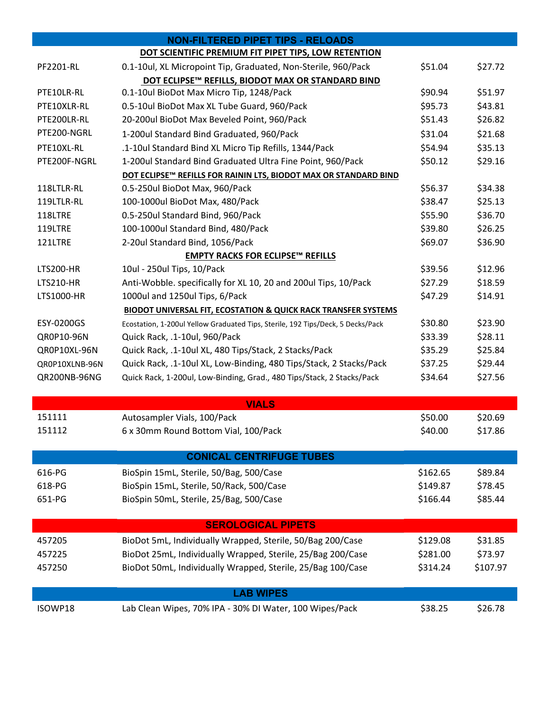|                  | <b>NON-FILTERED PIPET TIPS - RELOADS</b>                                        |          |          |
|------------------|---------------------------------------------------------------------------------|----------|----------|
|                  | DOT SCIENTIFIC PREMIUM FIT PIPET TIPS, LOW RETENTION                            |          |          |
| PF2201-RL        | 0.1-10ul, XL Micropoint Tip, Graduated, Non-Sterile, 960/Pack                   | \$51.04  | \$27.72  |
|                  | DOT ECLIPSE™ REFILLS, BIODOT MAX OR STANDARD BIND                               |          |          |
| PTE10LR-RL       | 0.1-10ul BioDot Max Micro Tip, 1248/Pack                                        | \$90.94  | \$51.97  |
| PTE10XLR-RL      | 0.5-10ul BioDot Max XL Tube Guard, 960/Pack                                     | \$95.73  | \$43.81  |
| PTE200LR-RL      | 20-200ul BioDot Max Beveled Point, 960/Pack                                     | \$51.43  | \$26.82  |
| PTE200-NGRL      | 1-200ul Standard Bind Graduated, 960/Pack                                       | \$31.04  | \$21.68  |
| PTE10XL-RL       | .1-10ul Standard Bind XL Micro Tip Refills, 1344/Pack                           | \$54.94  | \$35.13  |
| PTE200F-NGRL     | 1-200ul Standard Bind Graduated Ultra Fine Point, 960/Pack                      | \$50.12  | \$29.16  |
|                  | DOT ECLIPSE™ REFILLS FOR RAININ LTS, BIODOT MAX OR STANDARD BIND                |          |          |
| 118LTLR-RL       | 0.5-250ul BioDot Max, 960/Pack                                                  | \$56.37  | \$34.38  |
| 119LTLR-RL       | 100-1000ul BioDot Max, 480/Pack                                                 | \$38.47  | \$25.13  |
| 118LTRE          | 0.5-250ul Standard Bind, 960/Pack                                               | \$55.90  | \$36.70  |
| 119LTRE          | 100-1000ul Standard Bind, 480/Pack                                              | \$39.80  | \$26.25  |
| 121LTRE          | 2-20ul Standard Bind, 1056/Pack                                                 | \$69.07  | \$36.90  |
|                  | <b>EMPTY RACKS FOR ECLIPSE™ REFILLS</b>                                         |          |          |
| <b>LTS200-HR</b> | 10ul - 250ul Tips, 10/Pack                                                      | \$39.56  | \$12.96  |
| <b>LTS210-HR</b> | Anti-Wobble. specifically for XL 10, 20 and 200ul Tips, 10/Pack                 | \$27.29  | \$18.59  |
| LTS1000-HR       | 1000ul and 1250ul Tips, 6/Pack                                                  | \$47.29  | \$14.91  |
|                  | <b>BIODOT UNIVERSAL FIT, ECOSTATION &amp; QUICK RACK TRANSFER SYSTEMS</b>       |          |          |
| ESY-0200GS       | Ecostation, 1-200ul Yellow Graduated Tips, Sterile, 192 Tips/Deck, 5 Decks/Pack | \$30.80  | \$23.90  |
| QR0P10-96N       | Quick Rack, .1-10ul, 960/Pack                                                   | \$33.39  | \$28.11  |
| QR0P10XL-96N     | Quick Rack, .1-10ul XL, 480 Tips/Stack, 2 Stacks/Pack                           | \$35.29  | \$25.84  |
| QR0P10XLNB-96N   | Quick Rack, .1-10ul XL, Low-Binding, 480 Tips/Stack, 2 Stacks/Pack              | \$37.25  | \$29.44  |
| QR200NB-96NG     | Quick Rack, 1-200ul, Low-Binding, Grad., 480 Tips/Stack, 2 Stacks/Pack          | \$34.64  | \$27.56  |
|                  |                                                                                 |          |          |
|                  | <b>VIALS</b>                                                                    |          |          |
| 151111           | Autosampler Vials, 100/Pack                                                     | \$50.00  | \$20.69  |
| 151112           | 6 x 30mm Round Bottom Vial, 100/Pack                                            | \$40.00  | \$17.86  |
|                  | <b>CONICAL CENTRIFUGE TUBES</b>                                                 |          |          |
| 616-PG           | BioSpin 15mL, Sterile, 50/Bag, 500/Case                                         | \$162.65 | \$89.84  |
| 618-PG           | BioSpin 15mL, Sterile, 50/Rack, 500/Case                                        | \$149.87 | \$78.45  |
| 651-PG           | BioSpin 50mL, Sterile, 25/Bag, 500/Case                                         | \$166.44 | \$85.44  |
|                  |                                                                                 |          |          |
|                  | <b>SEROLOGICAL PIPETS</b>                                                       |          |          |
| 457205           | BioDot 5mL, Individually Wrapped, Sterile, 50/Bag 200/Case                      | \$129.08 | \$31.85  |
| 457225           | BioDot 25mL, Individually Wrapped, Sterile, 25/Bag 200/Case                     | \$281.00 | \$73.97  |
| 457250           | BioDot 50mL, Individually Wrapped, Sterile, 25/Bag 100/Case                     | \$314.24 | \$107.97 |
|                  | <b>LAB WIPES</b>                                                                |          |          |
| ISOWP18          | Lab Clean Wipes, 70% IPA - 30% DI Water, 100 Wipes/Pack                         | \$38.25  | \$26.78  |
|                  |                                                                                 |          |          |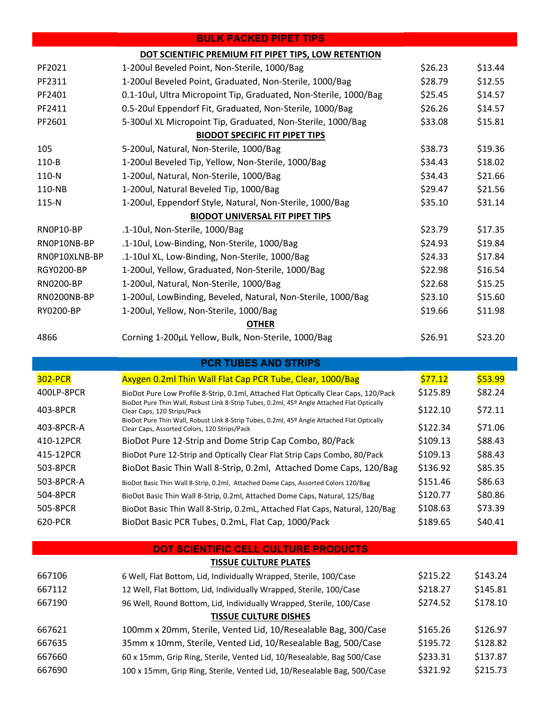|               | <b>BULK PACKED PIPET TIPS</b>                                    |         |         |
|---------------|------------------------------------------------------------------|---------|---------|
|               | DOT SCIENTIFIC PREMIUM FIT PIPET TIPS, LOW RETENTION             |         |         |
| PF2021        | 1-200ul Beveled Point, Non-Sterile, 1000/Bag                     | \$26.23 | \$13.44 |
| PF2311        | 1-200ul Beveled Point, Graduated, Non-Sterile, 1000/Bag          | \$28.79 | \$12.55 |
| PF2401        | 0.1-10ul, Ultra Micropoint Tip, Graduated, Non-Sterile, 1000/Bag | \$25.45 | \$14.57 |
| PF2411        | 0.5-20ul Eppendorf Fit, Graduated, Non-Sterile, 1000/Bag         | \$26.26 | \$14.57 |
| PF2601        | 5-300ul XL Micropoint Tip, Graduated, Non-Sterile, 1000/Bag      | \$33.08 | \$15.81 |
|               | <b>BIODOT SPECIFIC FIT PIPET TIPS</b>                            |         |         |
| 105           | 5-200ul, Natural, Non-Sterile, 1000/Bag                          | \$38.73 | \$19.36 |
| 110-B         | 1-200ul Beveled Tip, Yellow, Non-Sterile, 1000/Bag               | \$34.43 | \$18.02 |
| 110-N         | 1-200ul, Natural, Non-Sterile, 1000/Bag                          | \$34.43 | \$21.66 |
| 110-NB        | 1-200ul, Natural Beveled Tip, 1000/Bag                           | \$29.47 | \$21.56 |
| 115-N         | 1-200ul, Eppendorf Style, Natural, Non-Sterile, 1000/Bag         | \$35.10 | \$31.14 |
|               | <b>BIODOT UNIVERSAL FIT PIPET TIPS</b>                           |         |         |
| RNOP10-BP     | .1-10ul, Non-Sterile, 1000/Bag                                   | \$23.79 | \$17.35 |
| RNOP1ONB-BP   | .1-10ul, Low-Binding, Non-Sterile, 1000/Bag                      | \$24.93 | \$19.84 |
| RNOP10XLNB-BP | .1-10ul XL, Low-Binding, Non-Sterile, 1000/Bag                   | \$24.33 | \$17.84 |
| RGY0200-BP    | 1-200ul, Yellow, Graduated, Non-Sterile, 1000/Bag                | \$22.98 | \$16.54 |
| RN0200-BP     | 1-200ul, Natural, Non-Sterile, 1000/Bag                          | \$22.68 | \$15.25 |
| RN0200NB-BP   | 1-200ul, LowBinding, Beveled, Natural, Non-Sterile, 1000/Bag     | \$23.10 | \$15.60 |
| RY0200-BP     | 1-200ul, Yellow, Non-Sterile, 1000/Bag                           | \$19.66 | \$11.98 |
|               | <b>OTHER</b>                                                     |         |         |
| 4866          | Corning 1-200µL Yellow, Bulk, Non-Sterile, 1000/Bag              | \$26.91 | \$23.20 |

### **PCR TUBES AND STRIPS**

| <b>302-PCR</b> | Axygen 0.2ml Thin Wall Flat Cap PCR Tube, Clear, 1000/Bag                                                                                                                                                               | \$77.12  | \$53.99 |
|----------------|-------------------------------------------------------------------------------------------------------------------------------------------------------------------------------------------------------------------------|----------|---------|
| 400LP-8PCR     | BioDot Pure Low Profile 8-Strip, 0.1ml, Attached Flat Optically Clear Caps, 120/Pack                                                                                                                                    | \$125.89 | \$82.24 |
| 403-8PCR       | BioDot Pure Thin Wall, Robust Link 8-Strip Tubes, 0.2ml, 45º Angle Attached Flat Optically<br>Clear Caps, 120 Strips/Pack<br>BioDot Pure Thin Wall, Robust Link 8-Strip Tubes, 0.2ml, 45º Angle Attached Flat Optically | \$122.10 | \$72.11 |
| 403-8PCR-A     | Clear Caps, Assorted Colors, 120 Strips/Pack                                                                                                                                                                            | \$122.34 | \$71.06 |
| 410-12PCR      | BioDot Pure 12-Strip and Dome Strip Cap Combo, 80/Pack                                                                                                                                                                  | \$109.13 | \$88.43 |
| 415-12PCR      | BioDot Pure 12-Strip and Optically Clear Flat Strip Caps Combo, 80/Pack                                                                                                                                                 | \$109.13 | \$88.43 |
| 503-8PCR       | BioDot Basic Thin Wall 8-Strip, 0.2ml, Attached Dome Caps, 120/Bag                                                                                                                                                      | \$136.92 | \$85.35 |
| 503-8PCR-A     | BioDot Basic Thin Wall 8-Strip, 0.2ml, Attached Dome Caps, Assorted Colors 120/Bag                                                                                                                                      | \$151.46 | \$86.63 |
| 504-8PCR       | BioDot Basic Thin Wall 8-Strip, 0.2ml, Attached Dome Caps, Natural, 125/Bag                                                                                                                                             | \$120.77 | \$80.86 |
| 505-8PCR       | BioDot Basic Thin Wall 8-Strip, 0.2mL, Attached Flat Caps, Natural, 120/Bag                                                                                                                                             | \$108.63 | \$73.39 |
| 620-PCR        | BioDot Basic PCR Tubes, 0.2mL, Flat Cap, 1000/Pack                                                                                                                                                                      | \$189.65 | \$40.41 |

#### **DOT SCIENTIFIC CELL CULTURE PRODUCTS**

# **TISSUE CULTURE PLATES** 667106 67106 6 Well, Flat Bottom, Lid, Individually Wrapped, Sterile, 100/Case \$215.22 \$143.24 667112 12 Well, Flat Bottom, Lid, Individually Wrapped, Sterile, 100/Case \$218.27 \$145.81 667190 96 Well, Round Bottom, Lid, Individually Wrapped, Sterile, 100/Case \$274.52 \$178.10 **TISSUE CULTURE DISHES** 667621 100mm x 20mm, Sterile, Vented Lid, 10/Resealable Bag, 300/Case \$165.26 \$126.97 667635 35mm x 10mm, Sterile, Vented Lid, 10/Resealable Bag, 500/Case \$195.72 \$128.82 667660 60 x 15mm, Grip Ring, Sterile, Vented Lid, 10/Resealable, Bag 500/Case \$233.31 \$137.87 667690 100 x 15mm, Grip Ring, Sterile, Vented Lid, 10/Resealable Bag, 500/Case \$321.92 \$215.73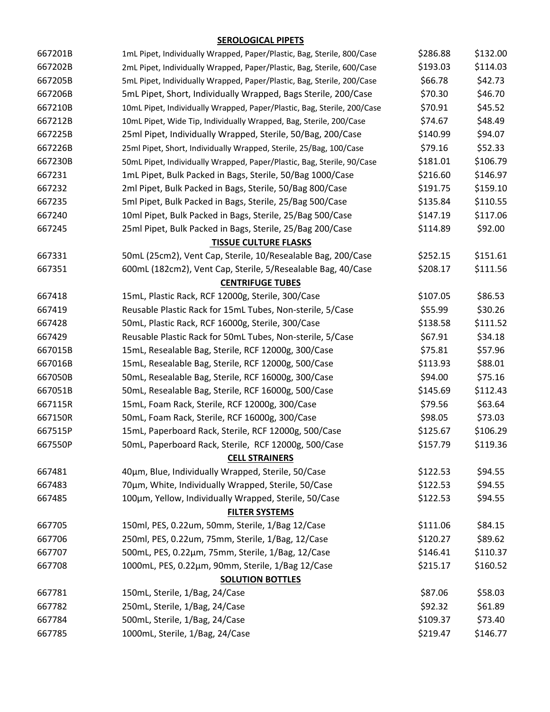## **SEROLOGICAL PIPETS**

| 667201B | 1mL Pipet, Individually Wrapped, Paper/Plastic, Bag, Sterile, 800/Case  | \$286.88 | \$132.00 |
|---------|-------------------------------------------------------------------------|----------|----------|
| 667202B | 2mL Pipet, Individually Wrapped, Paper/Plastic, Bag, Sterile, 600/Case  | \$193.03 | \$114.03 |
| 667205B | 5mL Pipet, Individually Wrapped, Paper/Plastic, Bag, Sterile, 200/Case  | \$66.78  | \$42.73  |
| 667206B | 5mL Pipet, Short, Individually Wrapped, Bags Sterile, 200/Case          | \$70.30  | \$46.70  |
| 667210B | 10mL Pipet, Individually Wrapped, Paper/Plastic, Bag, Sterile, 200/Case | \$70.91  | \$45.52  |
| 667212B | 10mL Pipet, Wide Tip, Individually Wrapped, Bag, Sterile, 200/Case      | \$74.67  | \$48.49  |
| 667225B | 25ml Pipet, Individually Wrapped, Sterile, 50/Bag, 200/Case             | \$140.99 | \$94.07  |
| 667226B | 25ml Pipet, Short, Individually Wrapped, Sterile, 25/Bag, 100/Case      | \$79.16  | \$52.33  |
| 667230B | 50mL Pipet, Individually Wrapped, Paper/Plastic, Bag, Sterile, 90/Case  | \$181.01 | \$106.79 |
| 667231  | 1mL Pipet, Bulk Packed in Bags, Sterile, 50/Bag 1000/Case               | \$216.60 | \$146.97 |
| 667232  | 2ml Pipet, Bulk Packed in Bags, Sterile, 50/Bag 800/Case                | \$191.75 | \$159.10 |
| 667235  | 5ml Pipet, Bulk Packed in Bags, Sterile, 25/Bag 500/Case                | \$135.84 | \$110.55 |
| 667240  | 10ml Pipet, Bulk Packed in Bags, Sterile, 25/Bag 500/Case               | \$147.19 | \$117.06 |
| 667245  | 25ml Pipet, Bulk Packed in Bags, Sterile, 25/Bag 200/Case               | \$114.89 | \$92.00  |
|         | <b>TISSUE CULTURE FLASKS</b>                                            |          |          |
| 667331  | 50mL (25cm2), Vent Cap, Sterile, 10/Resealable Bag, 200/Case            | \$252.15 | \$151.61 |
| 667351  | 600mL (182cm2), Vent Cap, Sterile, 5/Resealable Bag, 40/Case            | \$208.17 | \$111.56 |
|         | <b>CENTRIFUGE TUBES</b>                                                 |          |          |
| 667418  | 15mL, Plastic Rack, RCF 12000g, Sterile, 300/Case                       | \$107.05 | \$86.53  |
| 667419  | Reusable Plastic Rack for 15mL Tubes, Non-sterile, 5/Case               | \$55.99  | \$30.26  |
| 667428  | 50mL, Plastic Rack, RCF 16000g, Sterile, 300/Case                       | \$138.58 | \$111.52 |
| 667429  | Reusable Plastic Rack for 50mL Tubes, Non-sterile, 5/Case               | \$67.91  | \$34.18  |
| 667015B | 15mL, Resealable Bag, Sterile, RCF 12000g, 300/Case                     | \$75.81  | \$57.96  |
| 667016B | 15mL, Resealable Bag, Sterile, RCF 12000g, 500/Case                     | \$113.93 | \$88.01  |
| 667050B | 50mL, Resealable Bag, Sterile, RCF 16000g, 300/Case                     | \$94.00  | \$75.16  |
| 667051B | 50mL, Resealable Bag, Sterile, RCF 16000g, 500/Case                     | \$145.69 | \$112.43 |
| 667115R | 15mL, Foam Rack, Sterile, RCF 12000g, 300/Case                          | \$79.56  | \$63.64  |
| 667150R | 50mL, Foam Rack, Sterile, RCF 16000g, 300/Case                          | \$98.05  | \$73.03  |
| 667515P | 15mL, Paperboard Rack, Sterile, RCF 12000g, 500/Case                    | \$125.67 | \$106.29 |
| 667550P | 50mL, Paperboard Rack, Sterile, RCF 12000g, 500/Case                    | \$157.79 | \$119.36 |
|         | <b>CELL STRAINERS</b>                                                   |          |          |
| 667481  | 40um, Blue, Individually Wrapped, Sterile, 50/Case                      | \$122.53 | \$94.55  |
| 667483  | 70um, White, Individually Wrapped, Sterile, 50/Case                     | \$122.53 | \$94.55  |
| 667485  | 100µm, Yellow, Individually Wrapped, Sterile, 50/Case                   | \$122.53 | \$94.55  |
|         | <b>FILTER SYSTEMS</b>                                                   |          |          |
| 667705  | 150ml, PES, 0.22um, 50mm, Sterile, 1/Bag 12/Case                        | \$111.06 | \$84.15  |
| 667706  | 250ml, PES, 0.22um, 75mm, Sterile, 1/Bag, 12/Case                       | \$120.27 | \$89.62  |
| 667707  | 500mL, PES, 0.22μm, 75mm, Sterile, 1/Bag, 12/Case                       | \$146.41 | \$110.37 |
| 667708  | 1000mL, PES, 0.22µm, 90mm, Sterile, 1/Bag 12/Case                       | \$215.17 | \$160.52 |
|         | <b>SOLUTION BOTTLES</b>                                                 |          |          |
| 667781  | 150mL, Sterile, 1/Bag, 24/Case                                          | \$87.06  | \$58.03  |
| 667782  | 250mL, Sterile, 1/Bag, 24/Case                                          | \$92.32  | \$61.89  |
| 667784  | 500mL, Sterile, 1/Bag, 24/Case                                          | \$109.37 | \$73.40  |
| 667785  | 1000mL, Sterile, 1/Bag, 24/Case                                         | \$219.47 | \$146.77 |